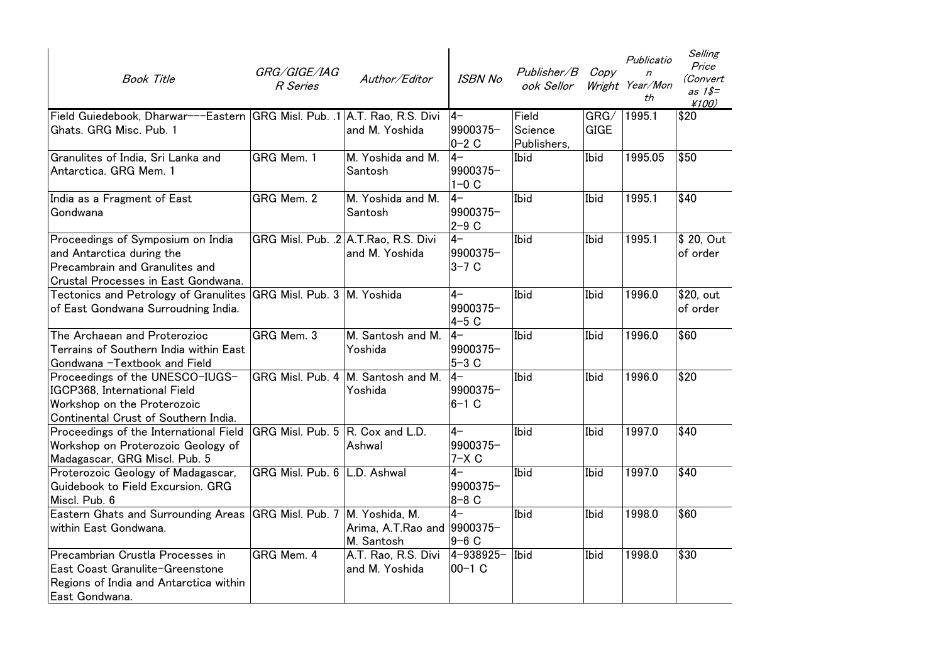| <b>Book Title</b>                                                                                                                       | GRG/GIGE/IAG<br>R Series         | Author/Editor                                          | <b>ISBN No</b>              | Publisher/B<br>ook Sellor       | Copy                | Publicatio<br>$\overline{r}$<br>Wright Year/Mon<br>th | Selling<br>Price<br>(Convert<br>as $1$ \$=<br>¥100) |
|-----------------------------------------------------------------------------------------------------------------------------------------|----------------------------------|--------------------------------------------------------|-----------------------------|---------------------------------|---------------------|-------------------------------------------------------|-----------------------------------------------------|
| Field Guiedebook, Dharwar---Eastern GRG Misl. Pub. .1 A.T. Rao, R.S. Divi<br>Ghats. GRG Misc. Pub. 1                                    |                                  | and M. Yoshida                                         | l4-<br>9900375-<br>$0-2$ C  | Field<br>Science<br>Publishers, | GRG/<br><b>GIGE</b> | 1995.1                                                | \$20                                                |
| Granulites of India, Sri Lanka and<br>Antarctica. GRG Mem. 1                                                                            | GRG Mem. 1                       | M. Yoshida and M.<br>Santosh                           | $4-$<br>9900375-<br>$1-0$ C | Ibid                            | Ibid                | 1995.05                                               | \$50                                                |
| India as a Fragment of East<br>Gondwana                                                                                                 | GRG Mem. 2                       | M. Yoshida and M.<br>Santosh                           | $4-$<br>9900375-<br>$2-9$ C | Ibid                            | Ibid                | 1995.1                                                | \$40                                                |
| Proceedings of Symposium on India<br>and Antarctica during the<br>Precambrain and Granulites and<br>Crustal Processes in East Gondwana. |                                  | GRG Misl. Pub. .2 A.T.Rao, R.S. Divi<br>and M. Yoshida | $4-$<br>9900375-<br>$3-7$ C | Ibid                            | Ibid                | 1995.1                                                | \$ 20, Out<br>of order                              |
| Tectonics and Petrology of Granulites<br>of East Gondwana Surroudning India.                                                            | GRG Misl. Pub. 3 M. Yoshida      |                                                        | $4-$<br>9900375-<br>$4-5$ C | Ibid                            | Ibid                | 1996.0                                                | \$20, out<br>of order                               |
| The Archaean and Proterozioc<br>Terrains of Southern India within East<br>Gondwana -Textbook and Field                                  | GRG Mem. 3                       | M. Santosh and M.<br>Yoshida                           | $4-$<br>9900375-<br>$5-3$ C | Ibid                            | Ibid                | 1996.0                                                | \$60                                                |
| Proceedings of the UNESCO-IUGS-<br>IGCP368, International Field<br>Workshop on the Proterozoic<br>Continental Crust of Southern India.  |                                  | GRG Misl. Pub. 4   M. Santosh and M.<br>Yoshida        | $4-$<br>9900375-<br>$6-1$ C | Ibid                            | Ibid                | 1996.0                                                | \$20                                                |
| Proceedings of the International Field<br>Workshop on Proterozoic Geology of<br>Madagascar, GRG Miscl. Pub. 5                           | GRG Misl. Pub. 5 R. Cox and L.D. | Ashwal                                                 | $4-$<br>9900375-<br>$7-X C$ | Ibid                            | Ibid                | 1997.0                                                | \$40                                                |
| Proterozoic Geology of Madagascar,<br>Guidebook to Field Excursion. GRG<br>Miscl. Pub. 6                                                | GRG Misl. Pub. 6 L.D. Ashwal     |                                                        | $4-$<br>9900375-<br>$8-8$ C | Ibid                            | Ibid                | 1997.0                                                | \$40                                                |
| <b>Eastern Ghats and Surrounding Areas</b><br>within East Gondwana.                                                                     | GRG Misl. Pub. 7 M. Yoshida, M.  | Arima, A.T.Rao and 9900375-<br>M. Santosh              | $4-$<br>$9-6$ C             | Ibid                            | Ibid                | 1998.0                                                | \$60                                                |
| Precambrian Crustla Processes in<br>East Coast Granulite-Greenstone<br>Regions of India and Antarctica within<br>East Gondwana.         | GRG Mem. 4                       | A.T. Rao, R.S. Divi<br>and M. Yoshida                  | 4-938925-<br>$00-1$ C       | Ibid                            | Ibid                | 1998.0                                                | \$30                                                |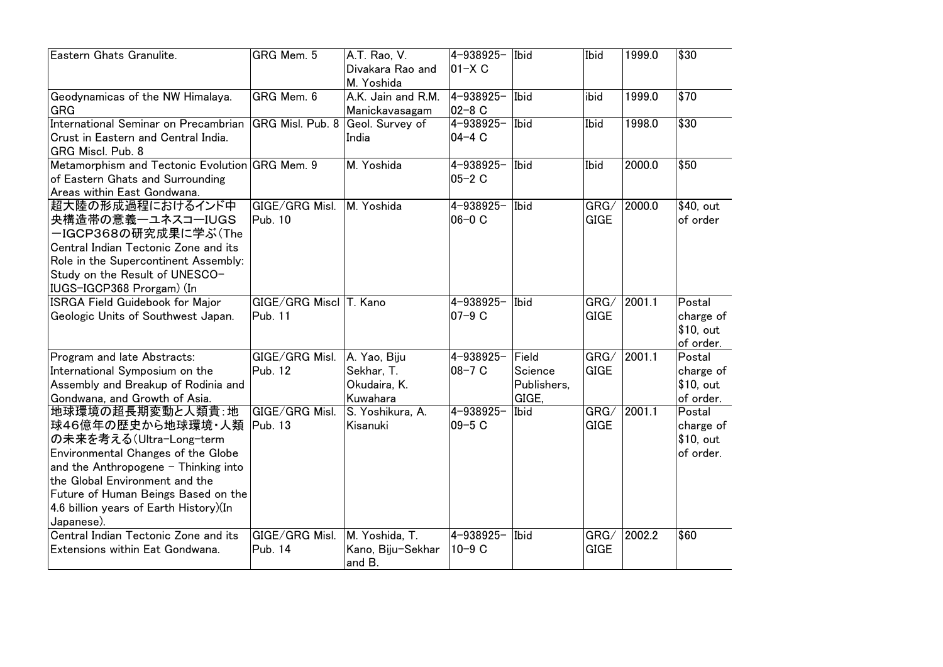| Eastern Ghats Granulite.                                                                                                                                                                                                                                                                   | GRG Mem. 5                        | A.T. Rao, V.<br>Divakara Rao and<br>M. Yoshida         | 4-938925-<br>$ 01 - X C$   | Ibid                                     | Ibid                | 1999.0 | \$30                                          |
|--------------------------------------------------------------------------------------------------------------------------------------------------------------------------------------------------------------------------------------------------------------------------------------------|-----------------------------------|--------------------------------------------------------|----------------------------|------------------------------------------|---------------------|--------|-----------------------------------------------|
| Geodynamicas of the NW Himalaya.<br><b>GRG</b>                                                                                                                                                                                                                                             | GRG Mem. 6                        | A.K. Jain and R.M.<br>Manickavasagam                   | 4-938925-<br>$02 - 8$ C    | Ibid                                     | ibid                | 1999.0 | \$70                                          |
| International Seminar on Precambrian<br>Crust in Eastern and Central India.<br>GRG Miscl. Pub. 8                                                                                                                                                                                           | GRG Misl. Pub. 8 Geol. Survey of  | India                                                  | 4-938925-<br>$04 - 4C$     | Ibid                                     | Ibid                | 1998.0 | \$30                                          |
| Metamorphism and Tectonic Evolution GRG Mem. 9<br>of Eastern Ghats and Surrounding<br>Areas within East Gondwana.                                                                                                                                                                          |                                   | M. Yoshida                                             | 4-938925-<br>$05 - 2C$     | Ibid                                     | Ibid                | 2000.0 | \$50                                          |
| 超大陸の形成過程におけるインド中<br>央構造帯の意義ーユネスコーIUGS<br>ーIGCP368の研究成果に学ぶ(The<br>Central Indian Tectonic Zone and its<br>Role in the Supercontinent Assembly:<br>Study on the Result of UNESCO-<br>IUGS-IGCP368 Prorgam) (In                                                                               | GIGE/GRG Misl.<br><b>Pub. 10</b>  | M. Yoshida                                             | 4-938925-<br>$06-0$ C      | Ibid                                     | GRG/<br><b>GIGE</b> | 2000.0 | \$40, out<br>of order                         |
| <b>ISRGA Field Guidebook for Major</b><br>Geologic Units of Southwest Japan.                                                                                                                                                                                                               | GIGE/GRG Miscl T. Kano<br>Pub. 11 |                                                        | $4 - 938925 -$<br>$07-9$ C | Ibid                                     | GRG/<br><b>GIGE</b> | 2001.1 | Postal<br>charge of<br>\$10, out<br>of order. |
| Program and late Abstracts:<br>International Symposium on the<br>Assembly and Breakup of Rodinia and<br>Gondwana, and Growth of Asia.                                                                                                                                                      | GIGE/GRG Misl.<br>Pub. 12         | A. Yao, Biju<br>Sekhar, T.<br>Okudaira, K.<br>Kuwahara | 4-938925-<br>$08 - 7 C$    | Field<br>Science<br>Publishers,<br>GIGE, | GRG/<br><b>GIGE</b> | 2001.1 | Postal<br>charge of<br>\$10, out<br>of order. |
| 地球環境の超長期変動と人類貴:地<br>球46億年の歴史から地球環境·人類  Pub. 13<br>の未来を考える(Ultra-Long-term<br>Environmental Changes of the Globe<br>and the Anthropogene $-$ Thinking into<br>the Global Environment and the<br>Future of Human Beings Based on the<br>4.6 billion years of Earth History)(In<br>Japanese). | GIGE/GRG Misl.                    | S. Yoshikura, A.<br>Kisanuki                           | 4-938925-<br>$09-5C$       | Ibid                                     | GRG/<br><b>GIGE</b> | 2001.1 | Postal<br>charge of<br>\$10, out<br>of order. |
| Central Indian Tectonic Zone and its<br>Extensions within Eat Gondwana.                                                                                                                                                                                                                    | GIGE/GRG Misl.<br>Pub. 14         | M. Yoshida, T.<br>Kano, Biju-Sekhar<br>and B.          | 4-938925-<br>$10-9$ C      | Ibid                                     | GRG/<br><b>GIGE</b> | 2002.2 | \$60                                          |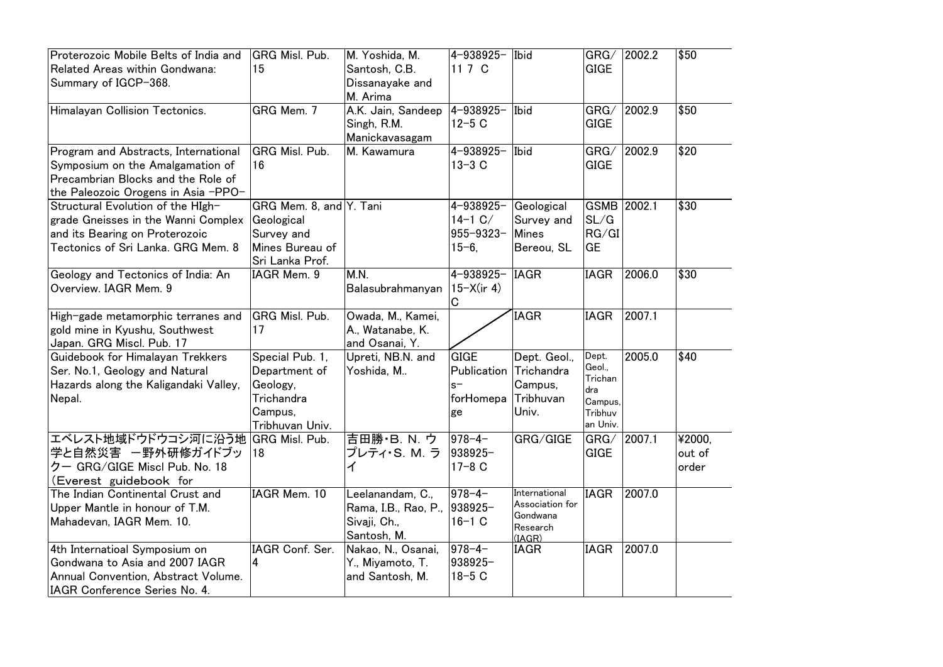| Proterozoic Mobile Belts of India and<br>Related Areas within Gondwana:<br>Summary of IGCP-368.                                                       | GRG Misl. Pub.<br>15                                                                      | M. Yoshida, M.<br>Santosh, C.B.<br>Dissanayake and<br>M. Arima          | 4-938925-<br>11 7 C                                    | Ibid                                                               | GRG/<br><b>GIGE</b>                                                | 2002.2      | \$50                      |
|-------------------------------------------------------------------------------------------------------------------------------------------------------|-------------------------------------------------------------------------------------------|-------------------------------------------------------------------------|--------------------------------------------------------|--------------------------------------------------------------------|--------------------------------------------------------------------|-------------|---------------------------|
| Himalayan Collision Tectonics.                                                                                                                        | GRG Mem. 7                                                                                | A.K. Jain, Sandeep<br>Singh, R.M.<br>Manickavasagam                     | $4 - 938925 -$<br>$12 - 5C$                            | Ibid                                                               | GRG/<br><b>GIGE</b>                                                | 2002.9      | \$50                      |
| Program and Abstracts, International<br>Symposium on the Amalgamation of<br>Precambrian Blocks and the Role of<br>the Paleozoic Orogens in Asia -PPO- | GRG Misl. Pub.<br>16                                                                      | M. Kawamura                                                             | 4-938925-<br>$13 - 3C$                                 | Ibid                                                               | GRG/<br><b>GIGE</b>                                                | 2002.9      | \$20                      |
| Structural Evolution of the High-<br>grade Gneisses in the Wanni Complex<br>and its Bearing on Proterozoic<br>Tectonics of Sri Lanka. GRG Mem. 8      | GRG Mem. 8, and Y. Tani<br>Geological<br>Survey and<br>Mines Bureau of<br>Sri Lanka Prof. |                                                                         | 4-938925-<br>$14-1$ C/<br>$955 - 9323 -$<br>$15 - 6$ . | Geological<br>Survey and<br><b>Mines</b><br>Bereou, SL             | SL/G<br>RG/GI<br>GE                                                | GSMB 2002.1 | \$30                      |
| Geology and Tectonics of India: An<br>Overview. IAGR Mem. 9                                                                                           | IAGR Mem. 9                                                                               | M.N.<br>Balasubrahmanyan                                                | 4-938925-<br>$15-X$ (ir 4)<br>C                        | <b>IAGR</b>                                                        | <b>IAGR</b>                                                        | 2006.0      | \$30                      |
| High-gade metamorphic terranes and<br>gold mine in Kyushu, Southwest<br>Japan. GRG Miscl. Pub. 17                                                     | GRG Misl. Pub.<br>17                                                                      | Owada, M., Kamei,<br>A., Watanabe, K.<br>and Osanai, Y.                 |                                                        | <b>IAGR</b>                                                        | <b>IAGR</b>                                                        | 2007.1      |                           |
| Guidebook for Himalayan Trekkers<br>Ser. No.1, Geology and Natural<br>Hazards along the Kaligandaki Valley,<br>Nepal.                                 | Special Pub. 1,<br>Department of<br>Geology,<br>Trichandra<br>Campus,<br>Tribhuvan Univ.  | Upreti, NB.N. and<br>Yoshida, M                                         | <b>GIGE</b><br>Publication<br>$s-$<br>forHomepa<br>ge  | Dept. Geol.,<br>Trichandra<br>Campus,<br>Tribhuvan<br>Univ.        | Dept.<br>Geol.<br>Trichan<br>dra<br>Campus,<br>Tribhuv<br>an Univ. | 2005.0      | \$40                      |
| エベレスト地域ドウドウコシ河に沿う地<br>学と自然災害 一野外研修ガイドブッ<br>クー GRG/GIGE Miscl Pub. No. 18<br>(Everest guidebook for                                                    | GRG Misl. Pub.<br>18                                                                      | 吉田勝·B.N. ウ<br>プレティ・S. M. ラ<br>ィ                                         | $978 - 4 -$<br>938925-<br>$17 - 8C$                    | GRG/GIGE                                                           | GRG/<br><b>GIGE</b>                                                | 2007.1      | ¥2000,<br>out of<br>order |
| The Indian Continental Crust and<br>Upper Mantle in honour of T.M.<br>Mahadevan, IAGR Mem. 10.                                                        | IAGR Mem. 10                                                                              | Leelanandam, C.,<br>Rama, I.B., Rao, P.,<br>Sivaji, Ch.,<br>Santosh, M. | $978 - 4 -$<br>938925-<br>$16 - 1 C$                   | International<br>Association for<br>Gondwana<br>Research<br>(IAGR) | <b>IAGR</b>                                                        | 2007.0      |                           |
| 4th Internatioal Symposium on<br>Gondwana to Asia and 2007 IAGR<br>Annual Convention, Abstract Volume.<br>IAGR Conference Series No. 4.               | IAGR Conf. Ser.<br>4                                                                      | Nakao, N., Osanai,<br>Y., Miyamoto, T.<br>and Santosh, M.               | $978 - 4 -$<br>938925-<br>$18-5C$                      | <b>IAGR</b>                                                        | <b>IAGR</b>                                                        | 2007.0      |                           |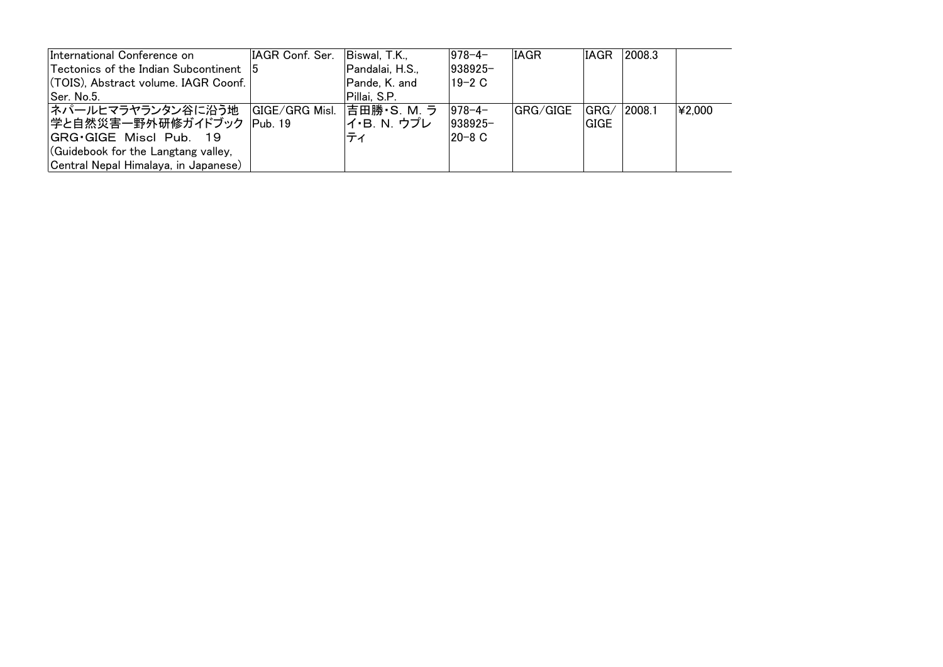| International Conference on                   | IAGR Conf. Ser. | Biswal, T.K.,   | $ 978 - 4 -$ | <b>IAGR</b> | IAGR   | 2008.3 |        |
|-----------------------------------------------|-----------------|-----------------|--------------|-------------|--------|--------|--------|
| <b>Tectonics of the Indian Subcontinent</b> 5 |                 | Pandalai, H.S., | $ 938925-$   |             |        |        |        |
| (TOIS), Abstract volume. IAGR Coonf.          |                 | Pande, K. and   | 19-2 C       |             |        |        |        |
| Ser. No.5.                                    |                 | Pillai, S.P.    |              |             |        |        |        |
| ネパールヒマラヤランタン谷に沿う地  GIGE/GRG Misl.             |                 | 吉田勝・S. M. ラ     | $ 978 - 4 -$ | GRG/GIGE    | ∣GRG∕  | 2008.1 | ¥2.000 |
| 学と自然災害一野外研修ガイドブック  Pub. 19                    |                 | イ・B. N. ウプレ     | $ 938925-$   |             | IGIGE. |        |        |
| <b>IGRG</b> GIGE Miscl Pub. 19                |                 | ティ              | 20-8 C       |             |        |        |        |
| (Guidebook for the Langtang valley,           |                 |                 |              |             |        |        |        |
| Central Nepal Himalaya, in Japanese)          |                 |                 |              |             |        |        |        |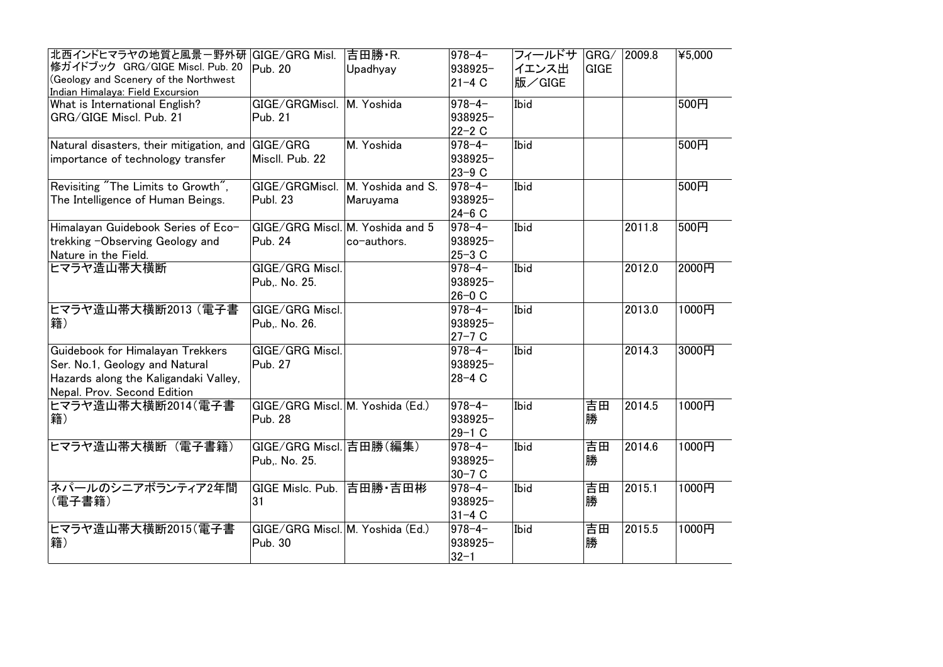| 北西インドヒマラヤの地質と風景ー野外研   GIGE/GRG Misl.     |                                  | 吉田勝·R.                           | 978-4-       | フィールドサ | GRG/        | 2009.8 | ¥5,000 |
|------------------------------------------|----------------------------------|----------------------------------|--------------|--------|-------------|--------|--------|
| 修ガイドブック GRG/GIGE Miscl. Pub. 20          | Pub. 20                          | Upadhyay                         | 938925-      | イエンス出  | <b>GIGE</b> |        |        |
| (Geology and Scenery of the Northwest    |                                  |                                  | $21 - 4C$    | 版/GIGE |             |        |        |
| Indian Himalaya: Field Excursion         |                                  |                                  |              |        |             |        |        |
| What is International English?           | GIGE/GRGMiscl.                   | M. Yoshida                       | 978-4-       | Ibid   |             |        | 500円   |
| GRG/GIGE Miscl. Pub. 21                  | Pub. 21                          |                                  | 938925-      |        |             |        |        |
|                                          |                                  |                                  | 22-2 C       |        |             |        |        |
| Natural disasters, their mitigation, and | GIGE/GRG                         | M. Yoshida                       | $978 - 4 -$  | Ibid   |             |        | 500円   |
| importance of technology transfer        | Miscll. Pub. 22                  |                                  | 938925-      |        |             |        |        |
|                                          |                                  |                                  | 23-9 C       |        |             |        |        |
| Revisiting "The Limits to Growth",       | GIGE/GRGMiscl.                   | M. Yoshida and S.                | $ 978 - 4 -$ | Ibid   |             |        | 500円   |
| The Intelligence of Human Beings.        | <b>Publ. 23</b>                  | Maruyama                         | 938925-      |        |             |        |        |
|                                          |                                  |                                  | 24-6 C       |        |             |        |        |
| Himalayan Guidebook Series of Eco-       |                                  | GIGE/GRG Miscl. M. Yoshida and 5 | 978-4-       | Ibid   |             | 2011.8 | 500円   |
| trekking -Observing Geology and          | Pub. 24                          | co-authors.                      | 938925-      |        |             |        |        |
| Nature in the Field.                     |                                  |                                  | 25-3 C       |        |             |        |        |
| ヒマラヤ造山帯大横断                               | GIGE/GRG Miscl.                  |                                  | 978-4-       | Ibid   |             | 2012.0 | 2000円  |
|                                          | Pub,. No. 25.                    |                                  | 938925-      |        |             |        |        |
|                                          |                                  |                                  | $26-0$ C     |        |             |        |        |
| ヒマラヤ造山帯大横断2013 (電子書                      | GIGE/GRG Miscl.                  |                                  | 978-4-       | Ibid   |             | 2013.0 | 1000円  |
| 籍)                                       | Pub No. 26.                      |                                  | 938925-      |        |             |        |        |
|                                          |                                  |                                  |              |        |             |        |        |
|                                          |                                  |                                  | 27-7 C       |        |             |        |        |
| Guidebook for Himalayan Trekkers         | GIGE/GRG Miscl.                  |                                  | 978-4-       | Ibid   |             | 2014.3 | 3000円  |
| Ser. No.1, Geology and Natural           | Pub. 27                          |                                  | 938925-      |        |             |        |        |
| Hazards along the Kaligandaki Valley,    |                                  |                                  | $28-4C$      |        |             |        |        |
| Nepal. Prov. Second Edition              |                                  |                                  |              |        |             |        |        |
| ヒマラヤ造山帯大横断2014(電子書                       | GIGE/GRG Miscl. M. Yoshida (Ed.) |                                  | $ 978 - 4 -$ | Ibid   | 吉田          | 2014.5 | 1000円  |
| 籍)                                       | <b>Pub. 28</b>                   |                                  | 938925-      |        | 勝           |        |        |
|                                          |                                  |                                  | 29-1 C       |        |             |        |        |
| ヒマラヤ造山帯大横断 (電子書籍)                        | GIGE/GRG Miscl. 吉田勝(編集)          |                                  | 978-4-       | Ibid   | 吉田          | 2014.6 | 1000円  |
|                                          | Pub,. No. 25.                    |                                  | 938925-      |        | 勝           |        |        |
|                                          |                                  |                                  | $30 - 7$ C   |        |             |        |        |
| ネパールのシニアボランティア2年間                        | GIGE Mislc. Pub.                 | 吉田勝 吉田彬                          | 978-4-       | Ibid   | 吉田          | 2015.1 | 1000円  |
| (電子書籍)                                   | 31                               |                                  | 938925-      |        | 勝           |        |        |
|                                          |                                  |                                  | $ 31 - 4 C$  |        |             |        |        |
| ヒマラヤ造山帯大横断2015(電子書                       | GIGE/GRG Miscl. M. Yoshida (Ed.) |                                  | $ 978 - 4 -$ | Ibid   | 吉田          | 2015.5 | 1000円  |
| 籍)                                       |                                  |                                  |              |        |             |        |        |
|                                          | Pub. 30                          |                                  | 938925-      |        | 勝           |        |        |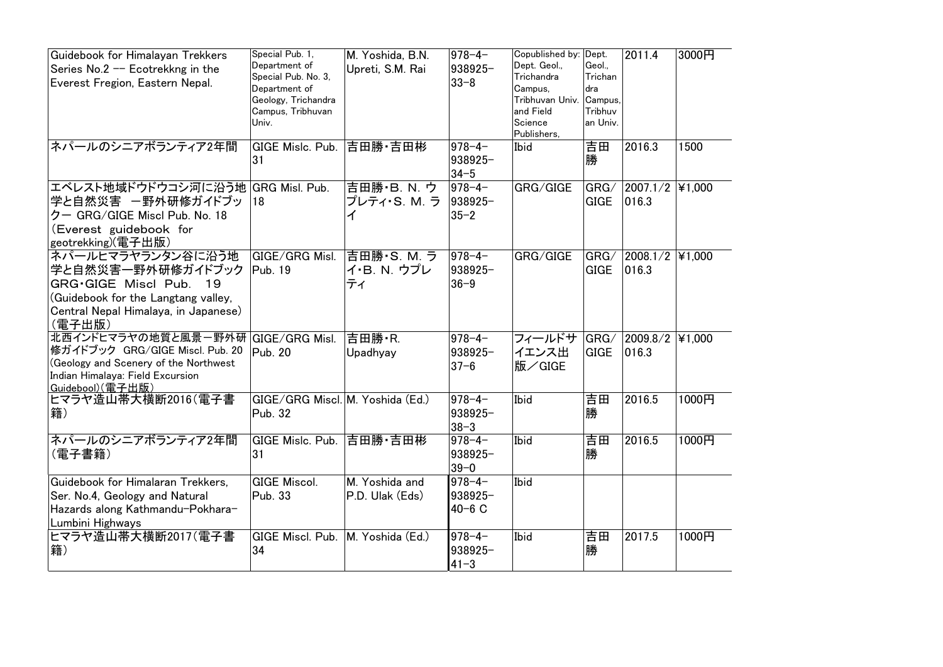| Guidebook for Himalayan Trekkers<br>Series No.2 -- Ecotrekkng in the<br>Everest Fregion, Eastern Nepal.                                                      | Special Pub. 1,<br>Department of<br>Special Pub. No. 3,<br>Department of<br>Geology, Trichandra<br>Campus, Tribhuvan<br>Univ. | M. Yoshida, B.N.<br>Upreti, S.M. Rai | $ 978 - 4 -$<br>938925-<br>$33 - 8$  | Copublished by: Dept.<br>Dept. Geol.,<br>Trichandra<br>Campus,<br>Tribhuvan Univ.<br>and Field<br>Science<br>Publishers, | Geol.,<br>Trichan<br>dra<br>Campus,<br>Tribhuv<br>an Univ. | 2011.4                   | 3000円  |
|--------------------------------------------------------------------------------------------------------------------------------------------------------------|-------------------------------------------------------------------------------------------------------------------------------|--------------------------------------|--------------------------------------|--------------------------------------------------------------------------------------------------------------------------|------------------------------------------------------------|--------------------------|--------|
| ネパールのシニアボランティア2年間                                                                                                                                            | GIGE Mislc, Pub.<br>31                                                                                                        | 吉田勝 吉田彬                              | 978-4-<br>938925-<br>$34 - 5$        | Ibid                                                                                                                     | 吉田<br>勝                                                    | 2016.3                   | 1500   |
| エベレスト地域ドウドウコシ河に沿う地<br>学と自然災害 -野外研修ガイドブッ<br>クー GRG/GIGE Miscl Pub. No. 18<br>(Everest guidebook for<br>geotrekking)(電子出版)                                     | GRG Misl. Pub.<br>18                                                                                                          | 吉田勝·B.N. ウ<br>プレティ・S. M. ラ<br>ィ      | $ 978 - 4 -$<br>938925-<br>$35 - 2$  | GRG/GIGE                                                                                                                 | GRG/<br><b>GIGE</b>                                        | 2007.1/2<br>016.3        | ¥1,000 |
| ネパールヒマラヤランタン谷に沿う地<br>学と自然災害一野外研修ガイドブック<br>GRG.GIGE Miscl Pub.<br>19<br>(Guidebook for the Langtang valley,<br>Central Nepal Himalaya, in Japanese)<br>(電子出版) | GIGE/GRG Misl.<br>Pub. 19                                                                                                     | 吉田勝·S. M. ラ<br>イ・B. N. ウプレ<br>ティ     | $978 - 4$<br>938925-<br>$36 - 9$     | GRG/GIGE                                                                                                                 | GRG/<br><b>GIGE</b>                                        | 2008.1/2<br>016.3        | ¥1,000 |
| 北西インドヒマラヤの地質と風景一野外研<br> 修ガイドブック GRG/GIGE Miscl. Pub. 20<br>(Geology and Scenery of the Northwest<br>Indian Himalaya: Field Excursion<br>Guidebool)(電子出版)     | GIGE/GRG Misl.<br>Pub. 20                                                                                                     | 吉田勝·R.<br>Upadhyay                   | 978-4-<br>938925-<br>$37 - 6$        | フィールドサ<br>イエンス出<br>版/GIGE                                                                                                | GRG/<br><b>GIGE</b>                                        | 2009.8/2 ¥1,000<br>016.3 |        |
| ヒマラヤ造山帯大横断2016(電子書<br>籍)                                                                                                                                     | GIGE/GRG Miscl. M. Yoshida (Ed.)<br>Pub. 32                                                                                   |                                      | 978-4-<br>938925-<br>38-3            | Ibid                                                                                                                     | 吉田<br>勝                                                    | 2016.5                   | 1000円  |
| ネパールのシニアボランティア2年間<br>(電子書籍)                                                                                                                                  | GIGE Mislc. Pub.<br>31                                                                                                        | 吉田勝·吉田彬                              | 978-4-<br>938925-<br>$39 - 0$        | Ibid                                                                                                                     | 吉田<br>勝                                                    | 2016.5                   | 1000円  |
| Guidebook for Himalaran Trekkers,<br>Ser. No.4, Geology and Natural<br>Hazards along Kathmandu-Pokhara-<br>Lumbini Highways                                  | <b>GIGE Miscol.</b><br>Pub. 33                                                                                                | M. Yoshida and<br>P.D. Ulak (Eds)    | $978 - 4 -$<br>938925-<br>$40 - 6$ C | Ibid                                                                                                                     |                                                            |                          |        |
| ヒマラヤ造山帯大横断2017(電子書<br>籍)                                                                                                                                     | GIGE Miscl. Pub.<br>34                                                                                                        | M. Yoshida (Ed.)                     | $978 - 4 -$<br>938925-<br>$41 - 3$   | Ibid                                                                                                                     | 吉田<br>勝                                                    | 2017.5                   | 1000円  |